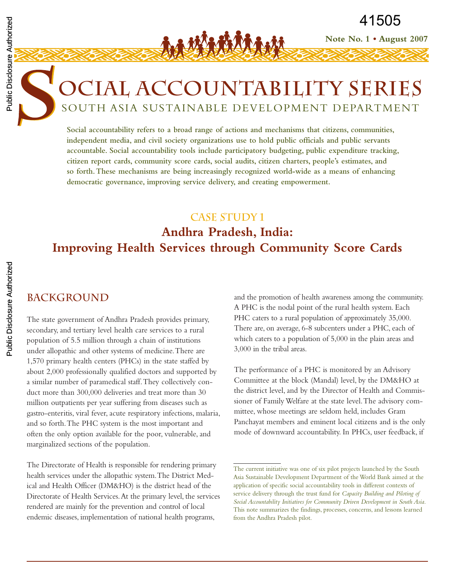# **OCIAL ACCOUNTABILITY SERIES**

41505<br>SOUTH ASIA SUSTAINABLE DEVELOPMENT DEPARTMENT<br>SOUTH ASIA SUSTAINABLE DEVELOPMENT DEPARTMENT<br>SOUTH ASIA SUSTAINABLE DEVELOPMENT DEPARTMENT<br>Social accountability refers to a broad range of actions and mechanisms that c **Social accountability refers to a broad range of actions and mechanisms that citizens, communities, independent media, and civil society organizations use to hold public officials and public servants accountable. Social accountability tools include participatory budgeting, public expenditure tracking, citizen report cards, community score cards, social audits, citizen charters, people's estimates, and so forth.These mechanisms are being increasingly recognized world-wide as a means of enhancing democratic governance, improving service delivery, and creating empowerment.**

### **Case Study 1**

# **Andhra Pradesh, India: Improving Health Services through Community Score Cards**

#### **BACKGROUND**

The state government of Andhra Pradesh provides primary, secondary, and tertiary level health care services to a rural population of 5.5 million through a chain of institutions under allopathic and other systems of medicine.There are 1,570 primary health centers (PHCs) in the state staffed by about 2,000 professionally qualified doctors and supported by a similar number of paramedical staff.They collectively conduct more than 300,000 deliveries and treat more than 30 million outpatients per year suffering from diseases such as gastro-enteritis, viral fever, acute respiratory infections, malaria, and so forth.The PHC system is the most important and often the only option available for the poor, vulnerable, and marginalized sections of the population.

The Directorate of Health is responsible for rendering primary health services under the allopathic system.The District Medical and Health Officer (DM&HO) is the district head of the Directorate of Health Services.At the primary level, the services rendered are mainly for the prevention and control of local endemic diseases, implementation of national health programs,

and the promotion of health awareness among the community. A PHC is the nodal point of the rural health system. Each PHC caters to a rural population of approximately 35,000. There are, on average, 6-8 subcenters under a PHC, each of which caters to a population of 5,000 in the plain areas and 3,000 in the tribal areas.

**Note No. 1 • August 2007**

41505

The performance of a PHC is monitored by an Advisory Committee at the block (Mandal) level, by the DM&HO at the district level, and by the Director of Health and Commissioner of Family Welfare at the state level.The advisory committee, whose meetings are seldom held, includes Gram Panchayat members and eminent local citizens and is the only mode of downward accountability. In PHCs, user feedback, if

The current initiative was one of six pilot projects launched by the South Asia Sustainable Development Department of the World Bank aimed at the application of specific social accountability tools in different contexts of service delivery through the trust fund for *Capacity Building and Piloting of Social Accountability Initiatives for Community Driven Development in South Asia.* This note summarizes the findings, processes, concerns, and lessons learned from the Andhra Pradesh pilot.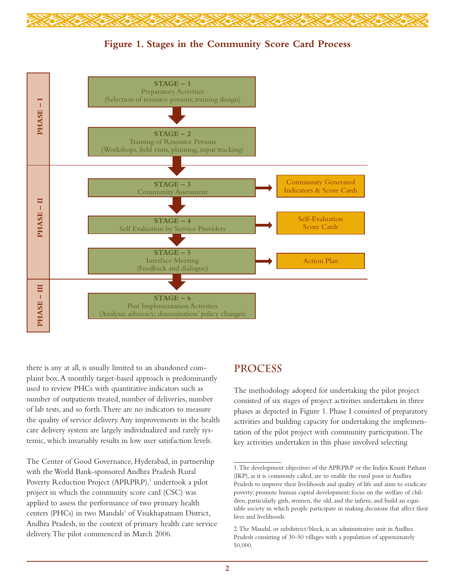

#### **Figure 1. Stages in the Community Score Card Process**



there is any at all, is usually limited to an abandoned complaint box.A monthly target-based approach is predominantly used to review PHCs with quantitative indicators such as number of outpatients treated, number of deliveries, number of lab tests, and so forth.There are no indicators to measure the quality of service delivery.Any improvements in the health care delivery system are largely individualized and rarely systemic, which invariably results in low user satisfaction levels.

The Center of Good Governance, Hyderabad, in partnership with the World Bank-sponsored Andhra Pradesh Rural Poverty Reduction Project (APRPRP),<sup>1</sup> undertook a pilot project in which the community score card (CSC) was applied to assess the performance of two primary health centers (PHCs) in two Mandals<sup>3</sup> of Visakhapatnam District, Andhra Pradesh, in the context of primary health care service delivery.The pilot commenced in March 2006.

#### **PROCESS**

The methodology adopted for undertaking the pilot project consisted of six stages of project activities undertaken in three phases as depicted in Figure 1. Phase I consisted of preparatory activities and building capacity for undertaking the implementation of the pilot project with community participation.The key activities undertaken in this phase involved selecting

<sup>1.</sup>The development objectives of the APRPRP or the Indira Kranti Patham (IKP), as it is commonly called, are to enable the rural poor in Andhra Pradesh to improve their livelihoods and quality of life and aims to eradicate poverty; promote human capital development; focus on the welfare of children, particularly girls, women, the old, and the infirm; and build an equitable society in which people participate in making decisions that affect their lives and livelihoods.

<sup>2.</sup>The Mandal, or subdistrict/block, is an administrative unit in Andhra Pradesh consisting of 30-50 villages with a population of approximately 50,000.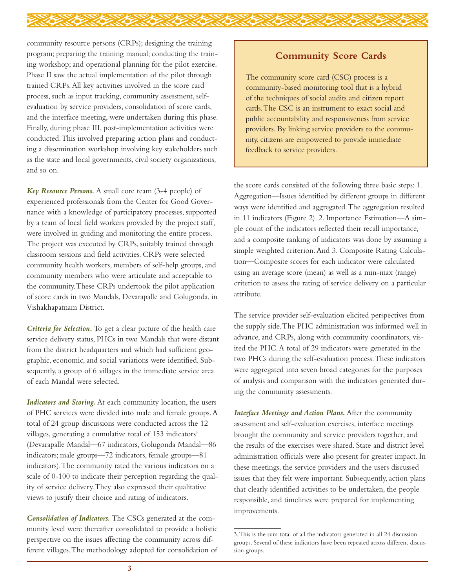community resource persons (CRPs); designing the training program; preparing the training manual; conducting the training workshop; and operational planning for the pilot exercise. Phase II saw the actual implementation of the pilot through trained CRPs.All key activities involved in the score card process, such as input tracking, community assessment, selfevaluation by service providers, consolidation of score cards, and the interface meeting, were undertaken during this phase. Finally, during phase III, post-implementation activities were conducted.This involved preparing action plans and conducting a dissemination workshop involving key stakeholders such as the state and local governments, civil society organizations, and so on.

*Key Resource Persons.* A small core team (3-4 people) of experienced professionals from the Center for Good Governance with a knowledge of participatory processes, supported by a team of local field workers provided by the project staff, were involved in guiding and monitoring the entire process. The project was executed by CRPs, suitably trained through classroom sessions and field activities. CRPs were selected community health workers, members of self-help groups, and community members who were articulate and acceptable to the community.These CRPs undertook the pilot application of score cards in two Mandals, Devarapalle and Golugonda, in Vishakhapatnam District.

*Criteria for Selection.* To get a clear picture of the health care service delivery status, PHCs in two Mandals that were distant from the district headquarters and which had sufficient geographic, economic, and social variations were identified. Subsequently, a group of 6 villages in the immediate service area of each Mandal were selected.

*Indicators and Scoring.* At each community location, the users of PHC services were divided into male and female groups.A total of 24 group discussions were conducted across the 12 villages, generating a cumulative total of 153 indicators<sup>3</sup> (Devarapalle Mandal—67 indicators, Golugonda Mandal—86 indicators; male groups—72 indicators, female groups—81 indicators).The community rated the various indicators on a scale of 0-100 to indicate their perception regarding the quality of service delivery.They also expressed their qualitative views to justify their choice and rating of indicators.

*Consolidation of Indicators.* The CSCs generated at the community level were thereafter consolidated to provide a holistic perspective on the issues affecting the community across different villages.The methodology adopted for consolidation of

#### **Community Score Cards**

The community score card (CSC) process is a community-based monitoring tool that is a hybrid of the techniques of social audits and citizen report cards.The CSC is an instrument to exact social and public accountability and responsiveness from service providers. By linking service providers to the community, citizens are empowered to provide immediate feedback to service providers.

the score cards consisted of the following three basic steps: 1. Aggregation—Issues identified by different groups in different ways were identified and aggregated.The aggregation resulted in 11 indicators (Figure 2). 2. Importance Estimation—A simple count of the indicators reflected their recall importance, and a composite ranking of indicators was done by assuming a simple weighted criterion.And 3. Composite Rating Calculation—Composite scores for each indicator were calculated using an average score (mean) as well as a min-max (range) criterion to assess the rating of service delivery on a particular attribute.

The service provider self-evaluation elicited perspectives from the supply side.The PHC administration was informed well in advance, and CRPs, along with community coordinators, visited the PHC.A total of 29 indicators were generated in the two PHCs during the self-evaluation process.These indicators were aggregated into seven broad categories for the purposes of analysis and comparison with the indicators generated during the community assessments.

*Interface Meetings and Action Plans.* After the community assessment and self-evaluation exercises, interface meetings brought the community and service providers together, and the results of the exercises were shared. State and district level administration officials were also present for greater impact. In these meetings, the service providers and the users discussed issues that they felt were important. Subsequently, action plans that clearly identified activities to be undertaken, the people responsible, and timelines were prepared for implementing improvements.

<sup>3.</sup>This is the sum total of all the indicators generated in all 24 discussion groups. Several of these indicators have been repeated across different discussion groups.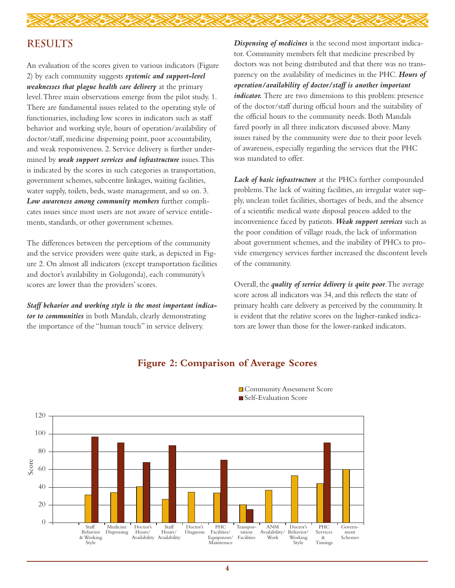## **RESULTS**

An evaluation of the scores given to various indicators (Figure 2) by each community suggests *systemic and support-level weaknesses that plague health care delivery* at the primary level.Three main observations emerge from the pilot study. 1. There are fundamental issues related to the operating style of functionaries, including low scores in indicators such as staff behavior and working style, hours of operation/availability of doctor/staff, medicine dispensing point, poor accountability, and weak responsiveness. 2. Service delivery is further undermined by *weak support services and infrastructure* issues.This is indicated by the scores in such categories as transportation, government schemes, subcentre linkages, waiting facilities, water supply, toilets, beds, waste management, and so on. 3. *Low awareness among community members* further complicates issues since most users are not aware of service entitlements, standards, or other government schemes.

The differences between the perceptions of the community and the service providers were quite stark, as depicted in Figure 2. On almost all indicators (except transportation facilities and doctor's availability in Golugonda), each community's scores are lower than the providers' scores.

*Staff behavior and working style is the most important indicator to communities* in both Mandals, clearly demonstrating the importance of the "human touch" in service delivery.

*Dispensing of medicines* is the second most important indicator. Community members felt that medicine prescribed by doctors was not being distributed and that there was no transparency on the availability of medicines in the PHC. *Hours of operation/availability of doctor/staff is another important indicator.* There are two dimensions to this problem: presence of the doctor/staff during official hours and the suitability of the official hours to the community needs. Both Mandals fared poorly in all three indicators discussed above. Many issues raised by the community were due to their poor levels of awareness, especially regarding the services that the PHC was mandated to offer.

*Lack of basic infrastructure* at the PHCs further compounded problems.The lack of waiting facilities, an irregular water supply, unclean toilet facilities, shortages of beds, and the absence of a scientific medical waste disposal process added to the inconvenience faced by patients. *Weak support services* such as the poor condition of village roads, the lack of information about government schemes, and the inability of PHCs to provide emergency services further increased the discontent levels of the community.

Overall, the *quality of service delivery is quite poor*.The average score across all indicators was 34, and this reflects the state of primary health care delivery as perceived by the community. It is evident that the relative scores on the higher-ranked indicators are lower than those for the lower-ranked indicators.



#### **Figure 2: Comparison of Average Scores**

**Community Assessment Score B** Self-Evaluation Score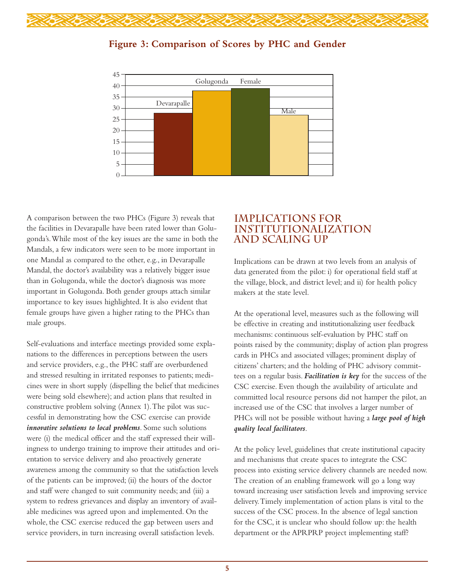



#### **Figure 3: Comparison of Scores by PHC and Gender**

A comparison between the two PHCs (Figure 3) reveals that the facilities in Devarapalle have been rated lower than Golugonda's.While most of the key issues are the same in both the Mandals, a few indicators were seen to be more important in one Mandal as compared to the other, e.g., in Devarapalle Mandal, the doctor's availability was a relatively bigger issue than in Golugonda, while the doctor's diagnosis was more important in Golugonda. Both gender groups attach similar importance to key issues highlighted. It is also evident that female groups have given a higher rating to the PHCs than male groups.

Self-evaluations and interface meetings provided some explanations to the differences in perceptions between the users and service providers, e.g., the PHC staff are overburdened and stressed resulting in irritated responses to patients; medicines were in short supply (dispelling the belief that medicines were being sold elsewhere); and action plans that resulted in constructive problem solving (Annex 1).The pilot was successful in demonstrating how the CSC exercise can provide *innovative solutions to local problems*. Some such solutions were (i) the medical officer and the staff expressed their willingness to undergo training to improve their attitudes and orientation to service delivery and also proactively generate awareness among the community so that the satisfaction levels of the patients can be improved; (ii) the hours of the doctor and staff were changed to suit community needs; and (iii) a system to redress grievances and display an inventory of available medicines was agreed upon and implemented. On the whole, the CSC exercise reduced the gap between users and service providers, in turn increasing overall satisfaction levels.

#### **IMPLICATIONS FOR INSTITUTIONALIZATION AND SCALING UP**

Implications can be drawn at two levels from an analysis of data generated from the pilot: i) for operational field staff at the village, block, and district level; and ii) for health policy makers at the state level.

At the operational level, measures such as the following will be effective in creating and institutionalizing user feedback mechanisms: continuous self-evaluation by PHC staff on points raised by the community; display of action plan progress cards in PHCs and associated villages; prominent display of citizens' charters; and the holding of PHC advisory committees on a regular basis. *Facilitation is key* for the success of the CSC exercise. Even though the availability of articulate and committed local resource persons did not hamper the pilot, an increased use of the CSC that involves a larger number of PHCs will not be possible without having a *large pool of high quality local facilitators*.

At the policy level, guidelines that create institutional capacity and mechanisms that create spaces to integrate the CSC process into existing service delivery channels are needed now. The creation of an enabling framework will go a long way toward increasing user satisfaction levels and improving service delivery.Timely implementation of action plans is vital to the success of the CSC process. In the absence of legal sanction for the CSC, it is unclear who should follow up: the health department or the APRPRP project implementing staff?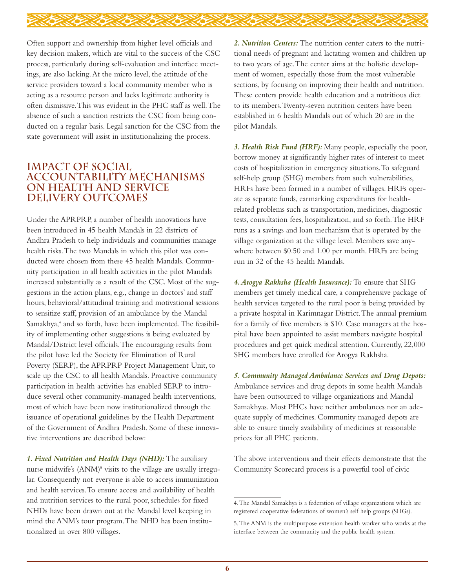

Often support and ownership from higher level officials and key decision makers, which are vital to the success of the CSC process, particularly during self-evaluation and interface meetings, are also lacking.At the micro level, the attitude of the service providers toward a local community member who is acting as a resource person and lacks legitimate authority is often dismissive.This was evident in the PHC staff as well.The absence of such a sanction restricts the CSC from being conducted on a regular basis. Legal sanction for the CSC from the state government will assist in institutionalizing the process.

#### **IMPACT OF SOCIAL ACCOUNTABILITY MECHANISMS ON HEALTH AND SERVICE DELIVERY OUTCOMES**

Under the APRPRP, a number of health innovations have been introduced in 45 health Mandals in 22 districts of Andhra Pradesh to help individuals and communities manage health risks.The two Mandals in which this pilot was conducted were chosen from these 45 health Mandals. Community participation in all health activities in the pilot Mandals increased substantially as a result of the CSC. Most of the suggestions in the action plans, e.g., change in doctors' and staff hours, behavioral/attitudinal training and motivational sessions to sensitize staff, provision of an ambulance by the Mandal Samakhya,<sup>4</sup> and so forth, have been implemented. The feasibility of implementing other suggestions is being evaluated by Mandal/District level officials.The encouraging results from the pilot have led the Society for Elimination of Rural Poverty (SERP), the APRPRP Project Management Unit, to scale up the CSC to all health Mandals. Proactive community participation in health activities has enabled SERP to introduce several other community-managed health interventions, most of which have been now institutionalized through the issuance of operational guidelines by the Health Department of the Government of Andhra Pradesh. Some of these innovative interventions are described below:

*1. Fixed Nutrition and Health Days (NHD):* The auxiliary nurse midwife's (ANM)<sup>5</sup> visits to the village are usually irregular. Consequently not everyone is able to access immunization and health services.To ensure access and availability of health and nutrition services to the rural poor, schedules for fixed NHDs have been drawn out at the Mandal level keeping in mind the ANM's tour program.The NHD has been institutionalized in over 800 villages.

*2. Nutrition Centers:* The nutrition center caters to the nutritional needs of pregnant and lactating women and children up to two years of age.The center aims at the holistic development of women, especially those from the most vulnerable sections, by focusing on improving their health and nutrition. These centers provide health education and a nutritious diet to its members.Twenty-seven nutrition centers have been established in 6 health Mandals out of which 20 are in the pilot Mandals.

*3. Health Risk Fund (HRF):* Many people, especially the poor, borrow money at significantly higher rates of interest to meet costs of hospitalization in emergency situations.To safeguard self-help group (SHG) members from such vulnerabilities, HRFs have been formed in a number of villages. HRFs operate as separate funds, earmarking expenditures for healthrelated problems such as transportation, medicines, diagnostic tests, consultation fees, hospitalization, and so forth.The HRF runs as a savings and loan mechanism that is operated by the village organization at the village level. Members save anywhere between \$0.50 and 1.00 per month. HRFs are being run in 32 of the 45 health Mandals.

*4.Arogya Rakhsha (Health Insurance):* To ensure that SHG members get timely medical care, a comprehensive package of health services targeted to the rural poor is being provided by a private hospital in Karimnagar District.The annual premium for a family of five members is \$10. Case managers at the hospital have been appointed to assist members navigate hospital procedures and get quick medical attention. Currently, 22,000 SHG members have enrolled for Arogya Rakhsha.

*5. Community Managed Ambulance Services and Drug Depots:* Ambulance services and drug depots in some health Mandals have been outsourced to village organizations and Mandal Samakhyas. Most PHCs have neither ambulances nor an adequate supply of medicines. Community managed depots are able to ensure timely availability of medicines at reasonable prices for all PHC patients.

The above interventions and their effects demonstrate that the Community Scorecard process is a powerful tool of civic

<sup>4.</sup>The Mandal Samakhya is a federation of village organizations which are registered cooperative federations of women's self help groups (SHGs).

<sup>5.</sup>The ANM is the multipurpose extension health worker who works at the interface between the community and the public health system.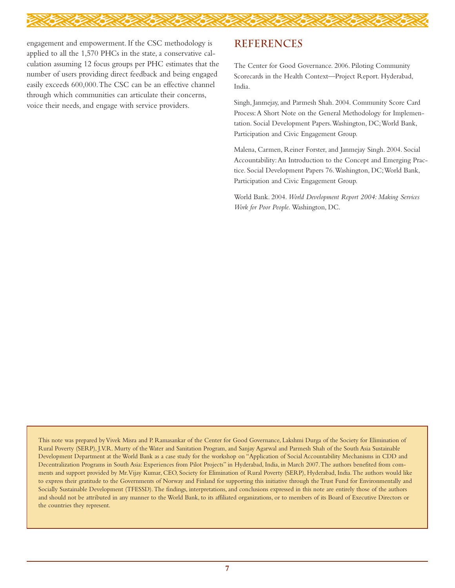

engagement and empowerment. If the CSC methodology is applied to all the 1,570 PHCs in the state, a conservative calculation assuming 12 focus groups per PHC estimates that the number of users providing direct feedback and being engaged easily exceeds 600,000.The CSC can be an effective channel through which communities can articulate their concerns, voice their needs, and engage with service providers.

#### **REFERENCES**

The Center for Good Governance. 2006. Piloting Community Scorecards in the Health Context—Project Report. Hyderabad, India.

Singh, Janmejay, and Parmesh Shah. 2004. Community Score Card Process:A Short Note on the General Methodology for Implementation. Social Development Papers.Washington, DC;World Bank, Participation and Civic Engagement Group.

Malena, Carmen, Reiner Forster, and Janmejay Singh. 2004. Social Accountability:An Introduction to the Concept and Emerging Practice. Social Development Papers 76.Washington, DC;World Bank, Participation and Civic Engagement Group.

World Bank. 2004. *World Development Report 2004: Making Services Work for Poor People.* Washington, DC.

This note was prepared byVivek Misra and P. Ramasankar of the Center for Good Governance, Lakshmi Durga of the Society for Elimination of Rural Poverty (SERP), J.V.R. Murty of the Water and Sanitation Program, and Sanjay Agarwal and Parmesh Shah of the South Asia Sustainable Development Department at the World Bank as a case study for the workshop on "Application of Social Accountability Mechanisms in CDD and Decentralization Programs in South Asia: Experiences from Pilot Projects" in Hyderabad, India, in March 2007.The authors benefited from comments and support provided by Mr.Vijay Kumar, CEO, Society for Elimination of Rural Poverty (SERP), Hyderabad, India.The authors would like to express their gratitude to the Governments of Norway and Finland for supporting this initiative through the Trust Fund for Environmentally and Socially Sustainable Development (TFESSD).The findings, interpretations, and conclusions expressed in this note are entirely those of the authors and should not be attributed in any manner to the World Bank, to its affiliated organizations, or to members of its Board of Executive Directors or the countries they represent.